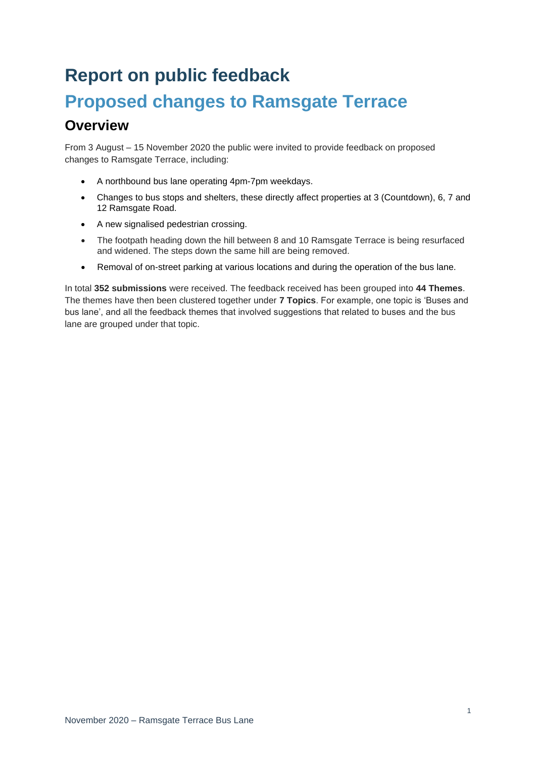# **Report on public feedback Proposed changes to Ramsgate Terrace**

## **Overview**

From 3 August – 15 November 2020 the public were invited to provide feedback on proposed changes to Ramsgate Terrace, including:

- A northbound bus lane operating 4pm-7pm weekdays.
- Changes to bus stops and shelters, these directly affect properties at 3 (Countdown), 6, 7 and 12 Ramsgate Road.
- A new signalised pedestrian crossing.
- The footpath heading down the hill between 8 and 10 Ramsgate Terrace is being resurfaced and widened. The steps down the same hill are being removed.
- Removal of on-street parking at various locations and during the operation of the bus lane.

In total **352 submissions** were received. The feedback received has been grouped into **44 Themes**. The themes have then been clustered together under **7 Topics**. For example, one topic is 'Buses and bus lane', and all the feedback themes that involved suggestions that related to buses and the bus lane are grouped under that topic.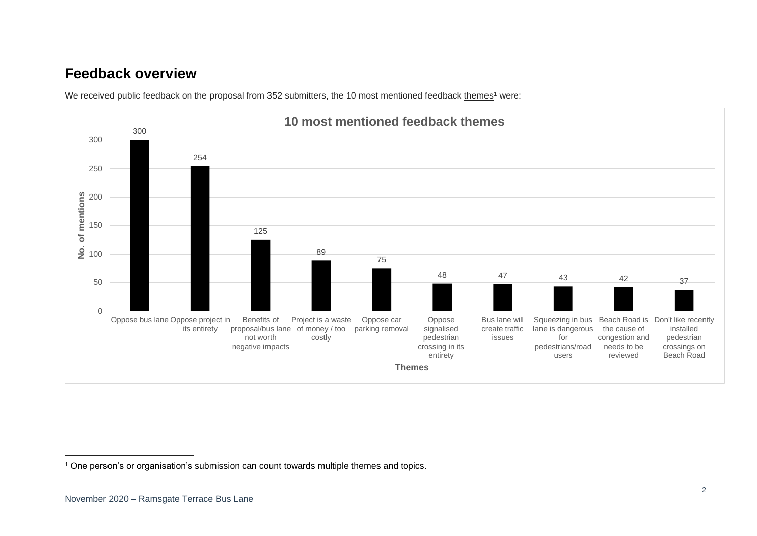### **Feedback overview**



We received public feedback on the proposal from 352 submitters, the 10 most mentioned feedback themes<sup>1</sup> were:

<sup>&</sup>lt;sup>1</sup> One person's or organisation's submission can count towards multiple themes and topics.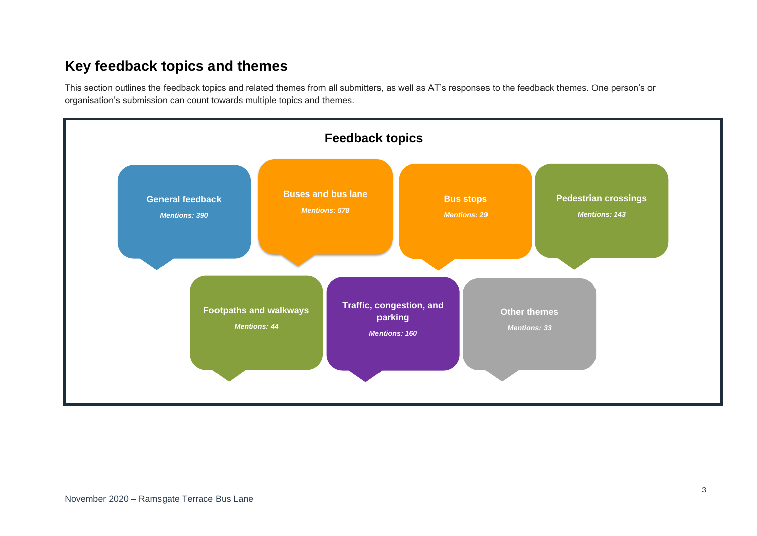## **Key feedback topics and themes**

This section outlines the feedback topics and related themes from all submitters, as well as AT's responses to the feedback themes. One person's or organisation's submission can count towards multiple topics and themes.

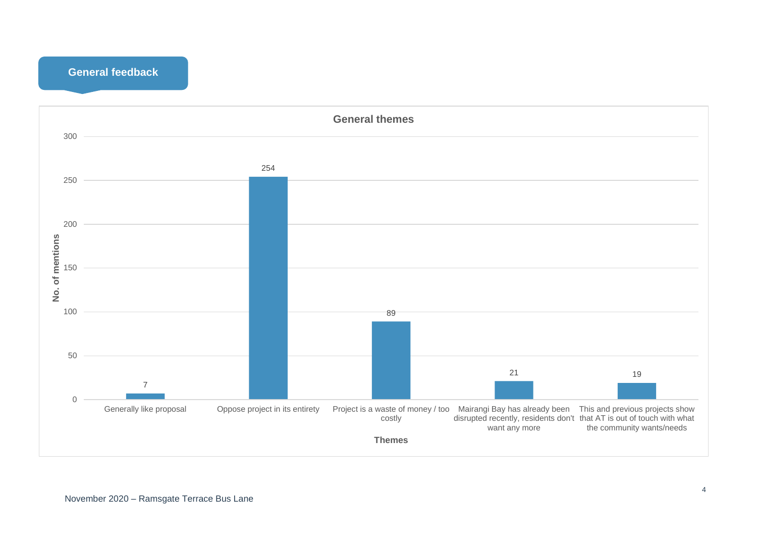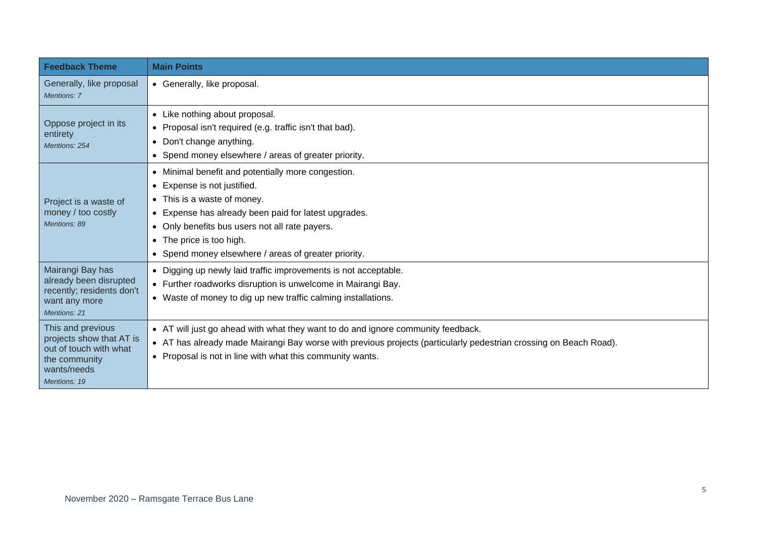| <b>Feedback Theme</b>                                                                                                   | <b>Main Points</b>                                                                                                                                                                                                                                                                                             |
|-------------------------------------------------------------------------------------------------------------------------|----------------------------------------------------------------------------------------------------------------------------------------------------------------------------------------------------------------------------------------------------------------------------------------------------------------|
| Generally, like proposal<br><b>Mentions: 7</b>                                                                          | • Generally, like proposal.                                                                                                                                                                                                                                                                                    |
| Oppose project in its<br>entirety<br>Mentions: 254                                                                      | • Like nothing about proposal.<br>• Proposal isn't required (e.g. traffic isn't that bad).<br>• Don't change anything.<br>• Spend money elsewhere / areas of greater priority.                                                                                                                                 |
| Project is a waste of<br>money / too costly<br>Mentions: 89                                                             | • Minimal benefit and potentially more congestion.<br>• Expense is not justified.<br>• This is a waste of money.<br>• Expense has already been paid for latest upgrades.<br>• Only benefits bus users not all rate payers.<br>• The price is too high.<br>• Spend money elsewhere / areas of greater priority. |
| Mairangi Bay has<br>already been disrupted<br>recently; residents don't<br>want any more<br>Mentions: 21                | • Digging up newly laid traffic improvements is not acceptable.<br>• Further roadworks disruption is unwelcome in Mairangi Bay.<br>• Waste of money to dig up new traffic calming installations.                                                                                                               |
| This and previous<br>projects show that AT is<br>out of touch with what<br>the community<br>wants/needs<br>Mentions: 19 | • AT will just go ahead with what they want to do and ignore community feedback.<br>• AT has already made Mairangi Bay worse with previous projects (particularly pedestrian crossing on Beach Road).<br>• Proposal is not in line with what this community wants.                                             |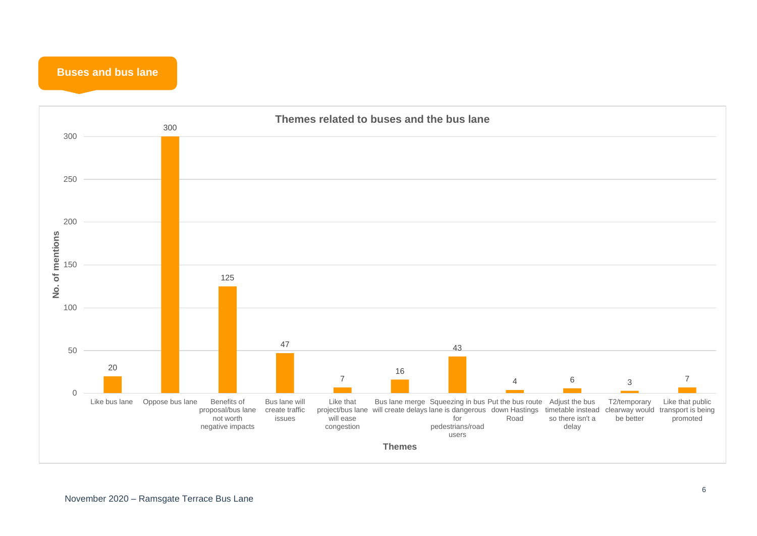**Buses and bus lane**

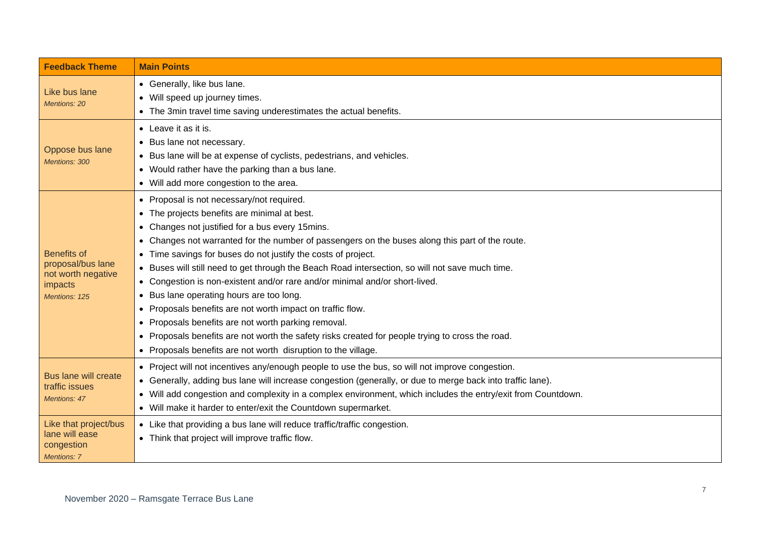| <b>Feedback Theme</b>                                                                     | <b>Main Points</b>                                                                                                                                                                                                                                                                                                                                                                                                                                                                                                                                                                                                                                                                                                                                                                                                                                           |
|-------------------------------------------------------------------------------------------|--------------------------------------------------------------------------------------------------------------------------------------------------------------------------------------------------------------------------------------------------------------------------------------------------------------------------------------------------------------------------------------------------------------------------------------------------------------------------------------------------------------------------------------------------------------------------------------------------------------------------------------------------------------------------------------------------------------------------------------------------------------------------------------------------------------------------------------------------------------|
| Like bus lane<br><b>Mentions: 20</b>                                                      | • Generally, like bus lane.<br>• Will speed up journey times.<br>• The 3min travel time saving underestimates the actual benefits.                                                                                                                                                                                                                                                                                                                                                                                                                                                                                                                                                                                                                                                                                                                           |
| Oppose bus lane<br>Mentions: 300                                                          | • Leave it as it is.<br>• Bus lane not necessary.<br>• Bus lane will be at expense of cyclists, pedestrians, and vehicles.<br>• Would rather have the parking than a bus lane.<br>• Will add more congestion to the area.                                                                                                                                                                                                                                                                                                                                                                                                                                                                                                                                                                                                                                    |
| <b>Benefits of</b><br>proposal/bus lane<br>not worth negative<br>impacts<br>Mentions: 125 | • Proposal is not necessary/not required.<br>• The projects benefits are minimal at best.<br>• Changes not justified for a bus every 15mins.<br>• Changes not warranted for the number of passengers on the buses along this part of the route.<br>• Time savings for buses do not justify the costs of project.<br>Buses will still need to get through the Beach Road intersection, so will not save much time.<br>$\bullet$<br>• Congestion is non-existent and/or rare and/or minimal and/or short-lived.<br>Bus lane operating hours are too long.<br>• Proposals benefits are not worth impact on traffic flow.<br>Proposals benefits are not worth parking removal.<br>$\bullet$<br>• Proposals benefits are not worth the safety risks created for people trying to cross the road.<br>• Proposals benefits are not worth disruption to the village. |
| <b>Bus lane will create</b><br>traffic issues<br><b>Mentions: 47</b>                      | • Project will not incentives any/enough people to use the bus, so will not improve congestion.<br>• Generally, adding bus lane will increase congestion (generally, or due to merge back into traffic lane).<br>• Will add congestion and complexity in a complex environment, which includes the entry/exit from Countdown.<br>• Will make it harder to enter/exit the Countdown supermarket.                                                                                                                                                                                                                                                                                                                                                                                                                                                              |
| Like that project/bus<br>lane will ease<br>congestion<br>Mentions: 7                      | • Like that providing a bus lane will reduce traffic/traffic congestion.<br>• Think that project will improve traffic flow.                                                                                                                                                                                                                                                                                                                                                                                                                                                                                                                                                                                                                                                                                                                                  |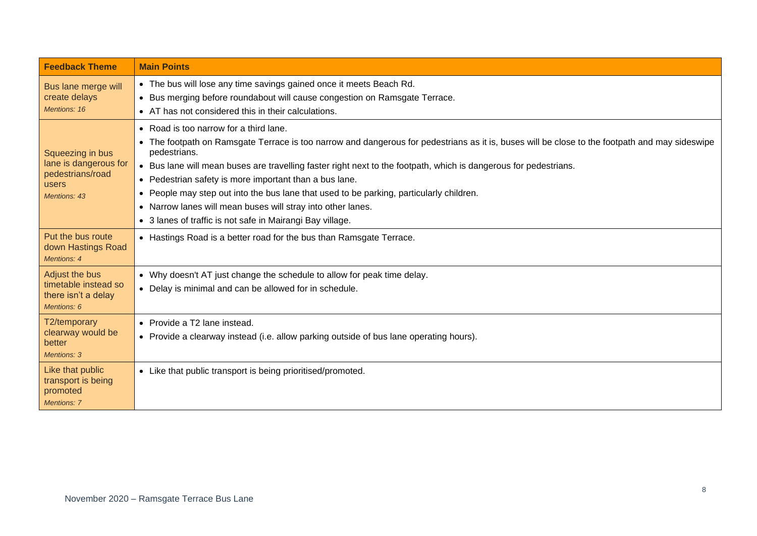| <b>Feedback Theme</b>                                                                  | <b>Main Points</b>                                                                                                                                                                                                                                                                                                                                                                                                                                                                                                                                                                                            |
|----------------------------------------------------------------------------------------|---------------------------------------------------------------------------------------------------------------------------------------------------------------------------------------------------------------------------------------------------------------------------------------------------------------------------------------------------------------------------------------------------------------------------------------------------------------------------------------------------------------------------------------------------------------------------------------------------------------|
| Bus lane merge will<br>create delays<br>Mentions: 16                                   | • The bus will lose any time savings gained once it meets Beach Rd.<br>• Bus merging before roundabout will cause congestion on Ramsgate Terrace.<br>• AT has not considered this in their calculations.                                                                                                                                                                                                                                                                                                                                                                                                      |
| Squeezing in bus<br>lane is dangerous for<br>pedestrians/road<br>users<br>Mentions: 43 | • Road is too narrow for a third lane.<br>• The footpath on Ramsgate Terrace is too narrow and dangerous for pedestrians as it is, buses will be close to the footpath and may sideswipe<br>pedestrians.<br>• Bus lane will mean buses are travelling faster right next to the footpath, which is dangerous for pedestrians.<br>• Pedestrian safety is more important than a bus lane.<br>• People may step out into the bus lane that used to be parking, particularly children.<br>• Narrow lanes will mean buses will stray into other lanes.<br>• 3 lanes of traffic is not safe in Mairangi Bay village. |
| Put the bus route<br>down Hastings Road<br>Mentions: 4                                 | • Hastings Road is a better road for the bus than Ramsgate Terrace.                                                                                                                                                                                                                                                                                                                                                                                                                                                                                                                                           |
| Adjust the bus<br>timetable instead so<br>there isn't a delay<br>Mentions: 6           | • Why doesn't AT just change the schedule to allow for peak time delay.<br>• Delay is minimal and can be allowed for in schedule.                                                                                                                                                                                                                                                                                                                                                                                                                                                                             |
| T2/temporary<br>clearway would be<br>better<br><b>Mentions: 3</b>                      | • Provide a T2 lane instead.<br>• Provide a clearway instead (i.e. allow parking outside of bus lane operating hours).                                                                                                                                                                                                                                                                                                                                                                                                                                                                                        |
| Like that public<br>transport is being<br>promoted<br><b>Mentions: 7</b>               | • Like that public transport is being prioritised/promoted.                                                                                                                                                                                                                                                                                                                                                                                                                                                                                                                                                   |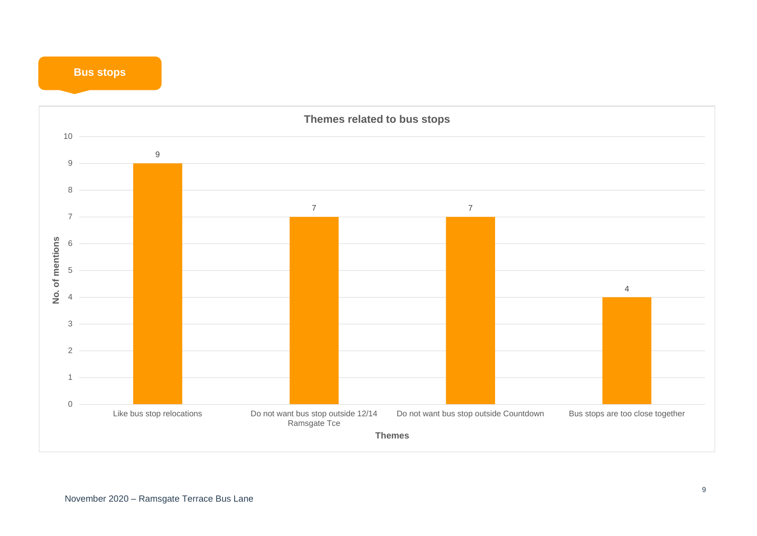#### **Bus stops**

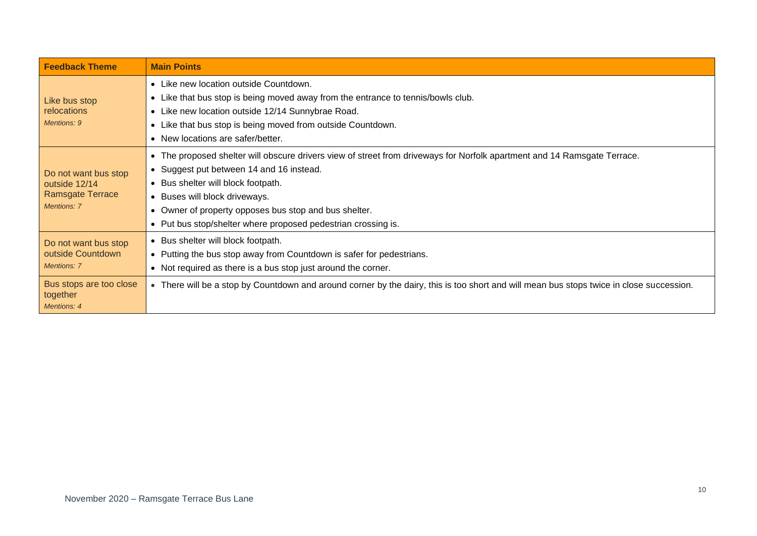| <b>Feedback Theme</b>                                                           | <b>Main Points</b>                                                                                                                                                                                                                                                                                                                                        |
|---------------------------------------------------------------------------------|-----------------------------------------------------------------------------------------------------------------------------------------------------------------------------------------------------------------------------------------------------------------------------------------------------------------------------------------------------------|
| Like bus stop<br>relocations<br>Mentions: 9                                     | • Like new location outside Countdown.<br>Like that bus stop is being moved away from the entrance to tennis/bowls club.<br>• Like new location outside 12/14 Sunnybrae Road.<br>Like that bus stop is being moved from outside Countdown.<br>• New locations are safer/better.                                                                           |
| Do not want bus stop<br>outside 12/14<br>Ramsgate Terrace<br><b>Mentions: 7</b> | The proposed shelter will obscure drivers view of street from driveways for Norfolk apartment and 14 Ramsgate Terrace.<br>Suggest put between 14 and 16 instead.<br>Bus shelter will block footpath.<br>Buses will block driveways.<br>Owner of property opposes bus stop and bus shelter.<br>Put bus stop/shelter where proposed pedestrian crossing is. |
| Do not want bus stop<br>outside Countdown<br>Mentions: 7                        | Bus shelter will block footpath.<br>• Putting the bus stop away from Countdown is safer for pedestrians.<br>• Not required as there is a bus stop just around the corner.                                                                                                                                                                                 |
| Bus stops are too close<br>together<br>Mentions: 4                              | • There will be a stop by Countdown and around corner by the dairy, this is too short and will mean bus stops twice in close succession.                                                                                                                                                                                                                  |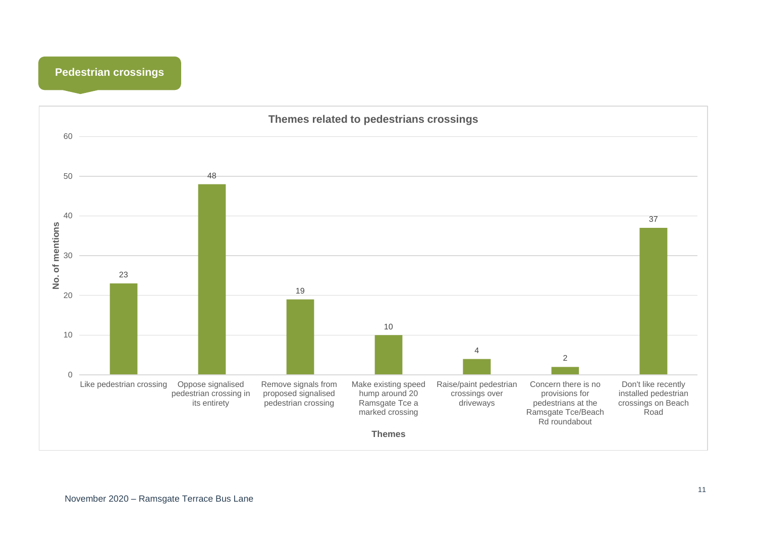

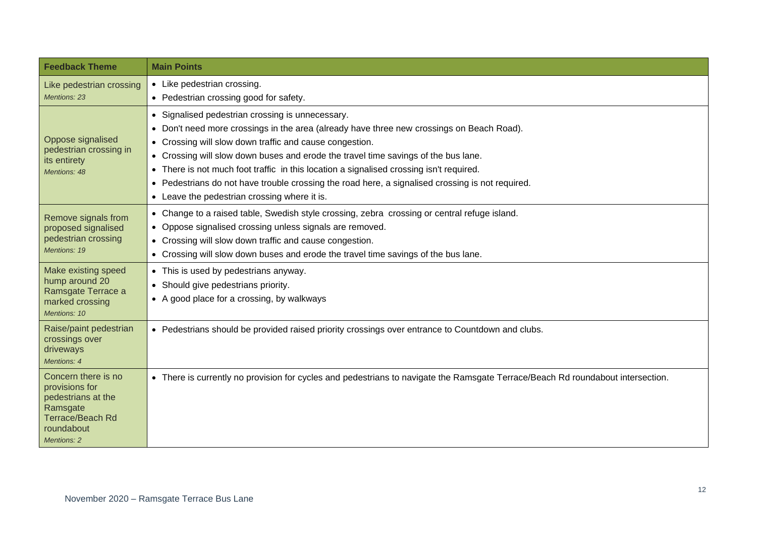| <b>Feedback Theme</b>                                                                                                                  | <b>Main Points</b>                                                                                                                                                                                                                                                                                                                                                                                                                                                                                                                        |
|----------------------------------------------------------------------------------------------------------------------------------------|-------------------------------------------------------------------------------------------------------------------------------------------------------------------------------------------------------------------------------------------------------------------------------------------------------------------------------------------------------------------------------------------------------------------------------------------------------------------------------------------------------------------------------------------|
| Like pedestrian crossing<br><b>Mentions: 23</b>                                                                                        | • Like pedestrian crossing.<br>• Pedestrian crossing good for safety.                                                                                                                                                                                                                                                                                                                                                                                                                                                                     |
| Oppose signalised<br>pedestrian crossing in<br>its entirety<br>Mentions: 48                                                            | Signalised pedestrian crossing is unnecessary.<br>• Don't need more crossings in the area (already have three new crossings on Beach Road).<br>• Crossing will slow down traffic and cause congestion.<br>• Crossing will slow down buses and erode the travel time savings of the bus lane.<br>• There is not much foot traffic in this location a signalised crossing isn't required.<br>Pedestrians do not have trouble crossing the road here, a signalised crossing is not required.<br>• Leave the pedestrian crossing where it is. |
| Remove signals from<br>proposed signalised<br>pedestrian crossing<br>Mentions: 19                                                      | • Change to a raised table, Swedish style crossing, zebra crossing or central refuge island.<br>• Oppose signalised crossing unless signals are removed.<br>• Crossing will slow down traffic and cause congestion.<br>• Crossing will slow down buses and erode the travel time savings of the bus lane.                                                                                                                                                                                                                                 |
| Make existing speed<br>hump around 20<br>Ramsgate Terrace a<br>marked crossing<br>Mentions: 10                                         | • This is used by pedestrians anyway.<br>• Should give pedestrians priority.<br>• A good place for a crossing, by walkways                                                                                                                                                                                                                                                                                                                                                                                                                |
| Raise/paint pedestrian<br>crossings over<br>driveways<br>Mentions: 4                                                                   | • Pedestrians should be provided raised priority crossings over entrance to Countdown and clubs.                                                                                                                                                                                                                                                                                                                                                                                                                                          |
| Concern there is no<br>provisions for<br>pedestrians at the<br>Ramsgate<br><b>Terrace/Beach Rd</b><br>roundabout<br><b>Mentions: 2</b> | • There is currently no provision for cycles and pedestrians to navigate the Ramsgate Terrace/Beach Rd roundabout intersection.                                                                                                                                                                                                                                                                                                                                                                                                           |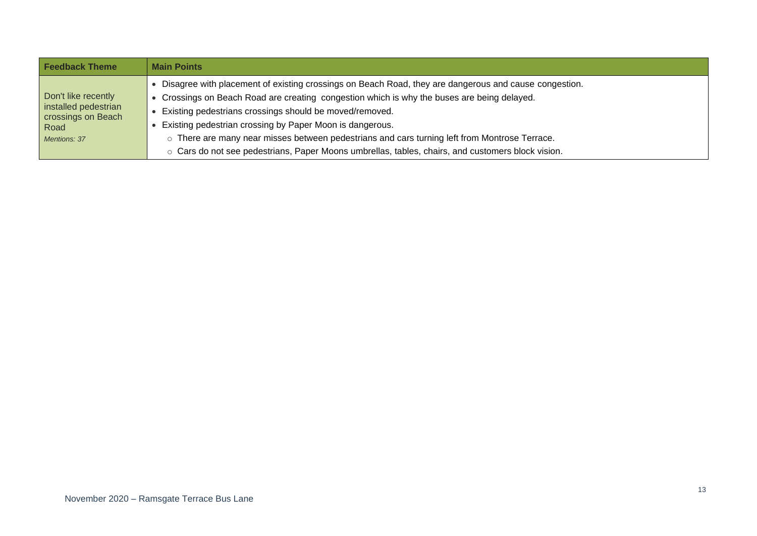| <b>Feedback Theme</b>                                                                            | <b>Main Points</b>                                                                                                                                                                                                                                                                                                                                                                                                                                                                                                                       |
|--------------------------------------------------------------------------------------------------|------------------------------------------------------------------------------------------------------------------------------------------------------------------------------------------------------------------------------------------------------------------------------------------------------------------------------------------------------------------------------------------------------------------------------------------------------------------------------------------------------------------------------------------|
| Don't like recently<br>installed pedestrian<br>crossings on Beach<br><b>Road</b><br>Mentions: 37 | Disagree with placement of existing crossings on Beach Road, they are dangerous and cause congestion.<br>Crossings on Beach Road are creating congestion which is why the buses are being delayed.<br>Existing pedestrians crossings should be moved/removed.<br>Existing pedestrian crossing by Paper Moon is dangerous.<br>There are many near misses between pedestrians and cars turning left from Montrose Terrace.<br>$\circ$<br>o Cars do not see pedestrians, Paper Moons umbrellas, tables, chairs, and customers block vision. |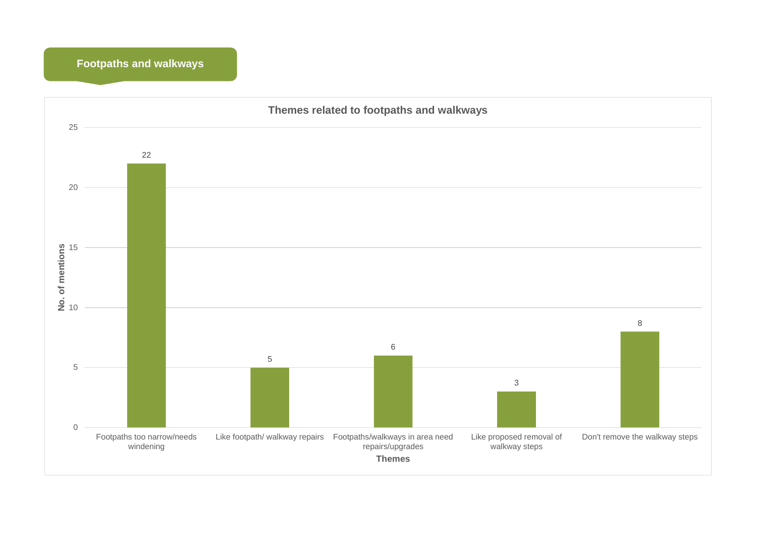#### **Footpaths and walkways**

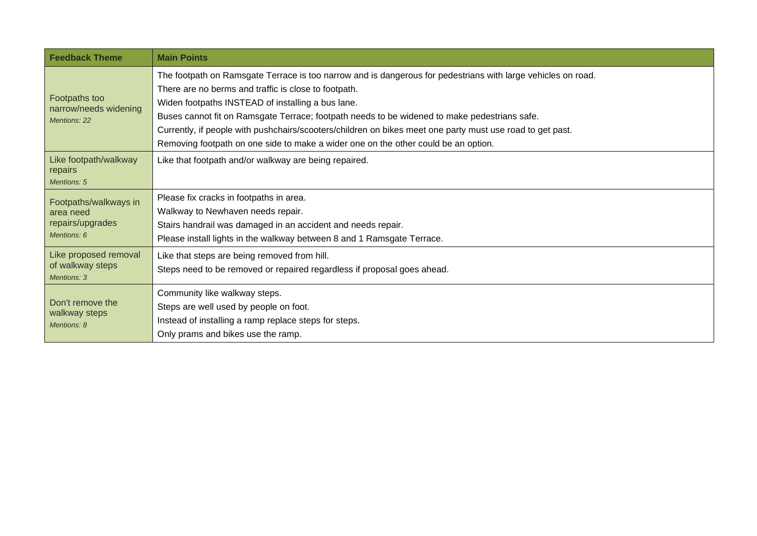| <b>Feedback Theme</b>                                                 | <b>Main Points</b>                                                                                                                                                                                                                                                                                                                                                                                                                                                                                                           |
|-----------------------------------------------------------------------|------------------------------------------------------------------------------------------------------------------------------------------------------------------------------------------------------------------------------------------------------------------------------------------------------------------------------------------------------------------------------------------------------------------------------------------------------------------------------------------------------------------------------|
| Footpaths too<br>narrow/needs widening<br><b>Mentions: 22</b>         | The footpath on Ramsgate Terrace is too narrow and is dangerous for pedestrians with large vehicles on road.<br>There are no berms and traffic is close to footpath.<br>Widen footpaths INSTEAD of installing a bus lane.<br>Buses cannot fit on Ramsgate Terrace; footpath needs to be widened to make pedestrians safe.<br>Currently, if people with pushchairs/scooters/children on bikes meet one party must use road to get past.<br>Removing footpath on one side to make a wider one on the other could be an option. |
| Like footpath/walkway<br>repairs<br><b>Mentions: 5</b>                | Like that footpath and/or walkway are being repaired.                                                                                                                                                                                                                                                                                                                                                                                                                                                                        |
| Footpaths/walkways in<br>area need<br>repairs/upgrades<br>Mentions: 6 | Please fix cracks in footpaths in area.<br>Walkway to Newhaven needs repair.<br>Stairs handrail was damaged in an accident and needs repair.<br>Please install lights in the walkway between 8 and 1 Ramsgate Terrace.                                                                                                                                                                                                                                                                                                       |
| Like proposed removal<br>of walkway steps<br><b>Mentions: 3</b>       | Like that steps are being removed from hill.<br>Steps need to be removed or repaired regardless if proposal goes ahead.                                                                                                                                                                                                                                                                                                                                                                                                      |
| Don't remove the<br>walkway steps<br>Mentions: 8                      | Community like walkway steps.<br>Steps are well used by people on foot.<br>Instead of installing a ramp replace steps for steps.<br>Only prams and bikes use the ramp.                                                                                                                                                                                                                                                                                                                                                       |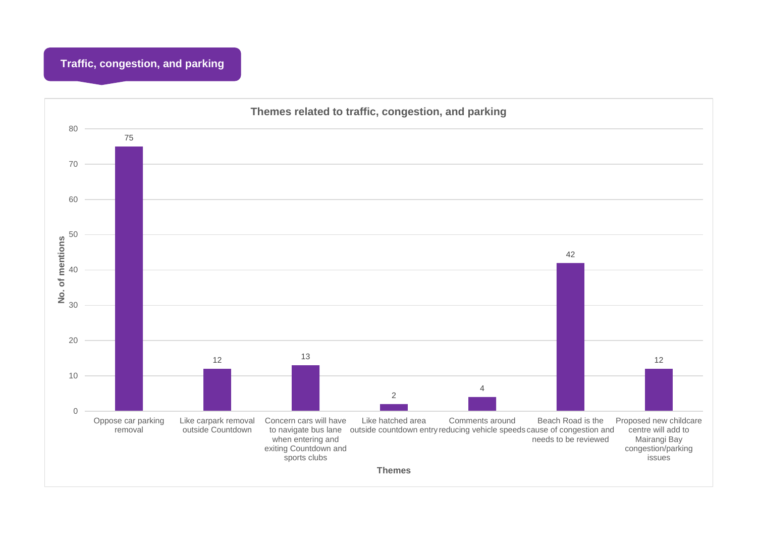### **Traffic, congestion, and parking**

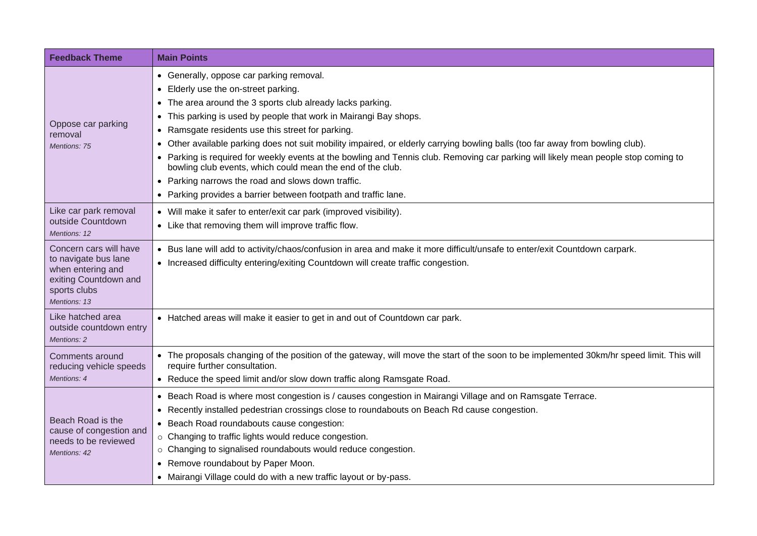| <b>Feedback Theme</b>                                                                                                        | <b>Main Points</b>                                                                                                                                                                                                                                                                                                                                                                                                                                                                                                                                                                                                                                                                                                                       |
|------------------------------------------------------------------------------------------------------------------------------|------------------------------------------------------------------------------------------------------------------------------------------------------------------------------------------------------------------------------------------------------------------------------------------------------------------------------------------------------------------------------------------------------------------------------------------------------------------------------------------------------------------------------------------------------------------------------------------------------------------------------------------------------------------------------------------------------------------------------------------|
| Oppose car parking<br>removal<br>Mentions: 75                                                                                | • Generally, oppose car parking removal.<br>• Elderly use the on-street parking.<br>• The area around the 3 sports club already lacks parking.<br>• This parking is used by people that work in Mairangi Bay shops.<br>• Ramsgate residents use this street for parking.<br>• Other available parking does not suit mobility impaired, or elderly carrying bowling balls (too far away from bowling club).<br>• Parking is required for weekly events at the bowling and Tennis club. Removing car parking will likely mean people stop coming to<br>bowling club events, which could mean the end of the club.<br>• Parking narrows the road and slows down traffic.<br>• Parking provides a barrier between footpath and traffic lane. |
| Like car park removal<br>outside Countdown<br>Mentions: 12                                                                   | • Will make it safer to enter/exit car park (improved visibility).<br>• Like that removing them will improve traffic flow.                                                                                                                                                                                                                                                                                                                                                                                                                                                                                                                                                                                                               |
| Concern cars will have<br>to navigate bus lane<br>when entering and<br>exiting Countdown and<br>sports clubs<br>Mentions: 13 | • Bus lane will add to activity/chaos/confusion in area and make it more difficult/unsafe to enter/exit Countdown carpark.<br>• Increased difficulty entering/exiting Countdown will create traffic congestion.                                                                                                                                                                                                                                                                                                                                                                                                                                                                                                                          |
| Like hatched area<br>outside countdown entry<br>Mentions: 2                                                                  | • Hatched areas will make it easier to get in and out of Countdown car park.                                                                                                                                                                                                                                                                                                                                                                                                                                                                                                                                                                                                                                                             |
| Comments around<br>reducing vehicle speeds<br>Mentions: 4                                                                    | • The proposals changing of the position of the gateway, will move the start of the soon to be implemented 30km/hr speed limit. This will<br>require further consultation.<br>• Reduce the speed limit and/or slow down traffic along Ramsgate Road.                                                                                                                                                                                                                                                                                                                                                                                                                                                                                     |
| Beach Road is the<br>cause of congestion and<br>needs to be reviewed<br>Mentions: 42                                         | • Beach Road is where most congestion is / causes congestion in Mairangi Village and on Ramsgate Terrace.<br>• Recently installed pedestrian crossings close to roundabouts on Beach Rd cause congestion.<br>• Beach Road roundabouts cause congestion:<br>o Changing to traffic lights would reduce congestion.<br>o Changing to signalised roundabouts would reduce congestion.<br>• Remove roundabout by Paper Moon.<br>• Mairangi Village could do with a new traffic layout or by-pass.                                                                                                                                                                                                                                             |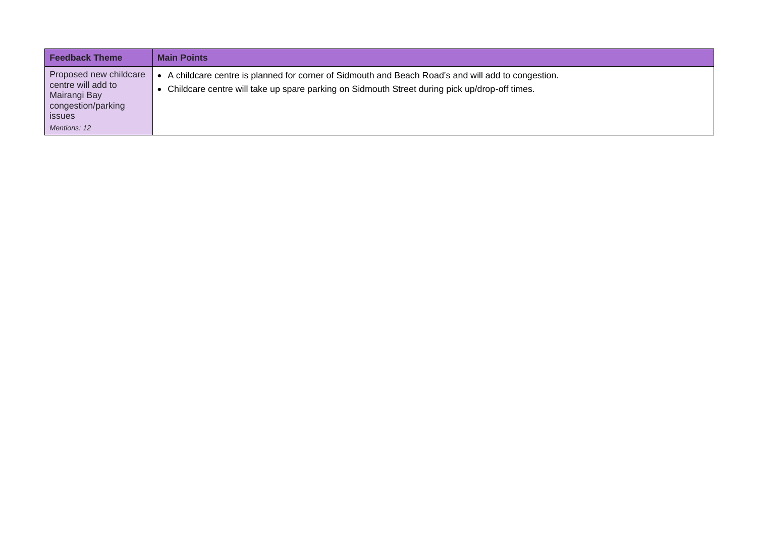| <b>Feedback Theme</b>                                                                                               | <b>Main Points</b>                                                                                                                                                                                     |
|---------------------------------------------------------------------------------------------------------------------|--------------------------------------------------------------------------------------------------------------------------------------------------------------------------------------------------------|
| Proposed new childcare<br>centre will add to<br>Mairangi Bay<br>congestion/parking<br><i>issues</i><br>Mentions: 12 | • A childcare centre is planned for corner of Sidmouth and Beach Road's and will add to congestion.<br>• Childcare centre will take up spare parking on Sidmouth Street during pick up/drop-off times. |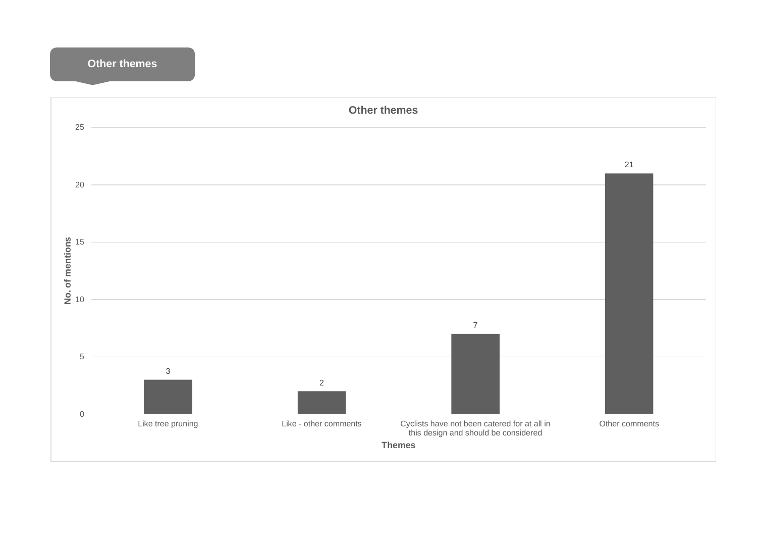